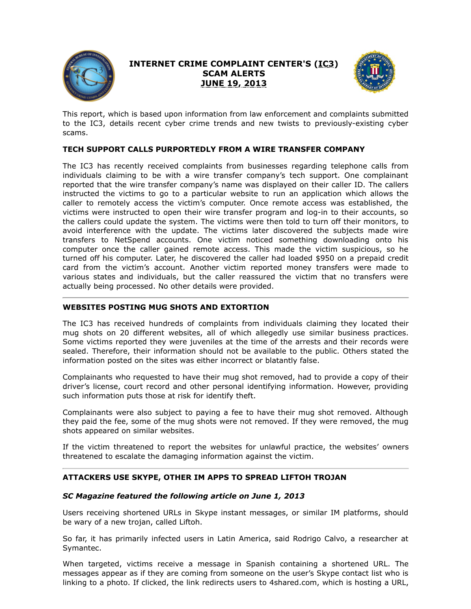

# **INTERNET CRIME COMPLAINT CENTER'S (IC3) SCAM ALERTS JUNE 19, 2013**



This report, which is based upon information from law enforcement and complaints submitted to the IC3, details recent cyber crime trends and new twists to previously-existing cyber scams.

# **TECH SUPPORT CALLS PURPORTEDLY FROM A WIRE TRANSFER COMPANY**

The IC3 has recently received complaints from businesses regarding telephone calls from individuals claiming to be with a wire transfer company's tech support. One complainant reported that the wire transfer company's name was displayed on their caller ID. The callers instructed the victims to go to a particular website to run an application which allows the caller to remotely access the victim's computer. Once remote access was established, the victims were instructed to open their wire transfer program and log-in to their accounts, so the callers could update the system. The victims were then told to turn off their monitors, to avoid interference with the update. The victims later discovered the subjects made wire transfers to NetSpend accounts. One victim noticed something downloading onto his computer once the caller gained remote access. This made the victim suspicious, so he turned off his computer. Later, he discovered the caller had loaded \$950 on a prepaid credit card from the victim's account. Another victim reported money transfers were made to various states and individuals, but the caller reassured the victim that no transfers were actually being processed. No other details were provided.

### **WEBSITES POSTING MUG SHOTS AND EXTORTION**

The IC3 has received hundreds of complaints from individuals claiming they located their mug shots on 20 different websites, all of which allegedly use similar business practices. Some victims reported they were juveniles at the time of the arrests and their records were sealed. Therefore, their information should not be available to the public. Others stated the information posted on the sites was either incorrect or blatantly false.

Complainants who requested to have their mug shot removed, had to provide a copy of their driver's license, court record and other personal identifying information. However, providing such information puts those at risk for identify theft.

Complainants were also subject to paying a fee to have their mug shot removed. Although they paid the fee, some of the mug shots were not removed. If they were removed, the mug shots appeared on similar websites.

If the victim threatened to report the websites for unlawful practice, the websites' owners threatened to escalate the damaging information against the victim.

# **ATTACKERS USE SKYPE, OTHER IM APPS TO SPREAD LIFTOH TROJAN**

#### *SC Magazine featured the following article on June 1, 2013*

Users receiving shortened URLs in Skype instant messages, or similar IM platforms, should be wary of a new trojan, called Liftoh.

So far, it has primarily infected users in Latin America, said Rodrigo Calvo, a researcher at Symantec.

When targeted, victims receive a message in Spanish containing a shortened URL. The messages appear as if they are coming from someone on the user's Skype contact list who is linking to a photo. If clicked, the link redirects users to 4shared.com, which is hosting a URL,